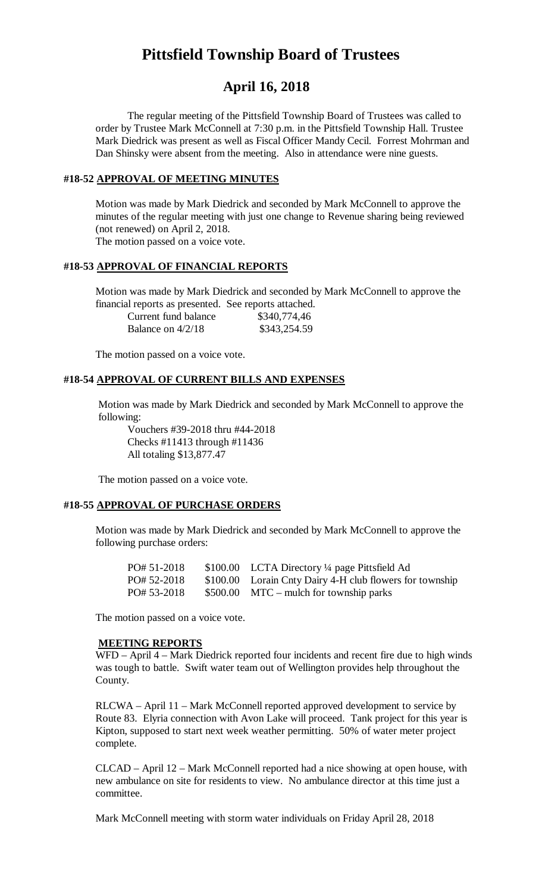# **Pittsfield Township Board of Trustees**

# **April 16, 2018**

The regular meeting of the Pittsfield Township Board of Trustees was called to order by Trustee Mark McConnell at 7:30 p.m. in the Pittsfield Township Hall. Trustee Mark Diedrick was present as well as Fiscal Officer Mandy Cecil. Forrest Mohrman and Dan Shinsky were absent from the meeting. Also in attendance were nine guests.

#### **#18-52 APPROVAL OF MEETING MINUTES**

Motion was made by Mark Diedrick and seconded by Mark McConnell to approve the minutes of the regular meeting with just one change to Revenue sharing being reviewed (not renewed) on April 2, 2018. The motion passed on a voice vote.

### **#18-53 APPROVAL OF FINANCIAL REPORTS**

Motion was made by Mark Diedrick and seconded by Mark McConnell to approve the financial reports as presented. See reports attached.

| Current fund balance | \$340,774,46 |
|----------------------|--------------|
| Balance on $4/2/18$  | \$343,254.59 |

The motion passed on a voice vote.

### **#18-54 APPROVAL OF CURRENT BILLS AND EXPENSES**

Motion was made by Mark Diedrick and seconded by Mark McConnell to approve the following:

Vouchers #39-2018 thru #44-2018 Checks #11413 through #11436 All totaling \$13,877.47

The motion passed on a voice vote.

# **#18-55 APPROVAL OF PURCHASE ORDERS**

Motion was made by Mark Diedrick and seconded by Mark McConnell to approve the following purchase orders:

| PO# 51-2018 | $$100.00$ LCTA Directory ¼ page Pittsfield Ad            |
|-------------|----------------------------------------------------------|
| PO# 52-2018 | \$100.00 Lorain Cnty Dairy 4-H club flowers for township |
| PO# 53-2018 | $$500.00$ MTC – mulch for township parks                 |

The motion passed on a voice vote.

### **MEETING REPORTS**

WFD – April 4 – Mark Diedrick reported four incidents and recent fire due to high winds was tough to battle. Swift water team out of Wellington provides help throughout the County.

RLCWA – April 11 – Mark McConnell reported approved development to service by Route 83. Elyria connection with Avon Lake will proceed. Tank project for this year is Kipton, supposed to start next week weather permitting. 50% of water meter project complete.

CLCAD – April 12 – Mark McConnell reported had a nice showing at open house, with new ambulance on site for residents to view. No ambulance director at this time just a committee.

Mark McConnell meeting with storm water individuals on Friday April 28, 2018